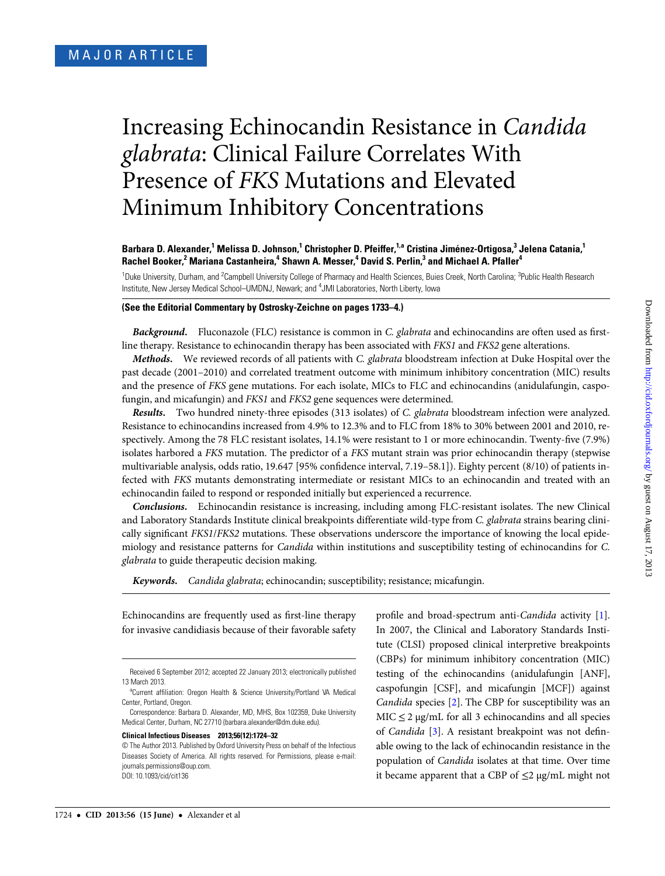# Increasing Echinocandin Resistance in Candida glabrata: Clinical Failure Correlates With Presence of FKS Mutations and Elevated Minimum Inhibitory Concentrations

## Barbara D. Alexander,<sup>1</sup> Melissa D. Johnson,<sup>1</sup> Christopher D. Pfeiffer,<sup>1,a</sup> Cristina Jiménez-Ortigosa,<sup>3</sup> Jelena Catania,<sup>1</sup> Rachel Booker,<sup>2</sup> Mariana Castanheira,<sup>4</sup> Shawn A. Messer,<sup>4</sup> David S. Perlin,<sup>3</sup> and Michael A. Pfaller<sup>4</sup>

<sup>1</sup>Duke University, Durham, and <sup>2</sup>Campbell University College of Pharmacy and Health Sciences, Buies Creek, North Carolina; <sup>3</sup>Public Health Research Institute, New Jersey Medical School-UMDNJ, Newark; and <sup>4</sup>JMI Laboratories, North Liberty, Iowa

## (See the Editorial Commentary by Ostrosky-Zeichne on pages 1733–4.)

Background. Fluconazole (FLC) resistance is common in C. glabrata and echinocandins are often used as firstline therapy. Resistance to echinocandin therapy has been associated with FKS1 and FKS2 gene alterations.

Methods. We reviewed records of all patients with C. glabrata bloodstream infection at Duke Hospital over the past decade (2001–2010) and correlated treatment outcome with minimum inhibitory concentration (MIC) results and the presence of FKS gene mutations. For each isolate, MICs to FLC and echinocandins (anidulafungin, caspofungin, and micafungin) and FKS1 and FKS2 gene sequences were determined.

Results. Two hundred ninety-three episodes (313 isolates) of C. glabrata bloodstream infection were analyzed. Resistance to echinocandins increased from 4.9% to 12.3% and to FLC from 18% to 30% between 2001 and 2010, respectively. Among the 78 FLC resistant isolates, 14.1% were resistant to 1 or more echinocandin. Twenty-five (7.9%) isolates harbored a FKS mutation. The predictor of a FKS mutant strain was prior echinocandin therapy (stepwise multivariable analysis, odds ratio, 19.647 [95% confidence interval, 7.19–58.1]). Eighty percent (8/10) of patients infected with FKS mutants demonstrating intermediate or resistant MICs to an echinocandin and treated with an echinocandin failed to respond or responded initially but experienced a recurrence.

Conclusions. Echinocandin resistance is increasing, including among FLC-resistant isolates. The new Clinical and Laboratory Standards Institute clinical breakpoints differentiate wild-type from C. glabrata strains bearing clinically significant FKS1/FKS2 mutations. These observations underscore the importance of knowing the local epidemiology and resistance patterns for Candida within institutions and susceptibility testing of echinocandins for C. glabrata to guide therapeutic decision making.

Keywords. Candida glabrata; echinocandin; susceptibility; resistance; micafungin.

Echinocandins are frequently used as first-line therapy for invasive candidiasis because of their favorable safety

Clinical Infectious Diseases 2013;56(12):1724–32

profile and broad-spectrum anti-Candida activity [[1\]](#page-7-0). In 2007, the Clinical and Laboratory Standards Institute (CLSI) proposed clinical interpretive breakpoints (CBPs) for minimum inhibitory concentration (MIC) testing of the echinocandins (anidulafungin [ANF], caspofungin [CSF], and micafungin [MCF]) against Candida species [\[2\]](#page-7-0). The CBP for susceptibility was an  $MIC \leq 2$  µg/mL for all 3 echinocandins and all species of Candida [\[3\]](#page-7-0). A resistant breakpoint was not definable owing to the lack of echinocandin resistance in the population of Candida isolates at that time. Over time it became apparent that a CBP of  $\leq$ 2 µg/mL might not

Received 6 September 2012; accepted 22 January 2013; electronically published 13 March 2013.

<sup>&</sup>lt;sup>a</sup>Current affiliation: Oregon Health & Science University/Portland VA Medical Center, Portland, Oregon.

Correspondence: Barbara D. Alexander, MD, MHS, Box 102359, Duke University Medical Center, Durham, NC 27710 [\(barbara.alexander@dm.duke.edu](mailto:barbara.alexander@dm.duke.edu)).

<sup>©</sup> The Author 2013. Published by Oxford University Press on behalf of the Infectious Diseases Society of America. All rights reserved. For Permissions, please e-mail: [journals.permissions@oup.com](mailto:journals.permissions@oup.com). DOI: 10.1093/cid/cit136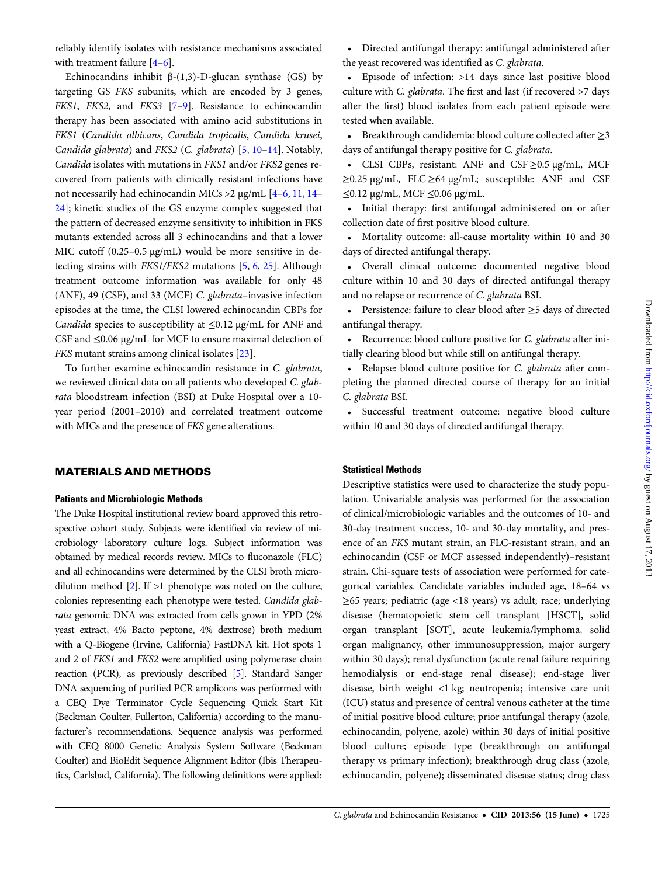reliably identify isolates with resistance mechanisms associated with treatment failure [\[4](#page-7-0)–[6](#page-7-0)].

Echinocandins inhibit  $β-(1,3)-D$ -glucan synthase (GS) by targeting GS FKS subunits, which are encoded by 3 genes, FKS1, FKS2, and FKS3 [[7](#page-7-0)-[9\]](#page-7-0). Resistance to echinocandin therapy has been associated with amino acid substitutions in FKS1 (Candida albicans, Candida tropicalis, Candida krusei, Candida glabrata) and FKS2 (C. glabrata) [[5](#page-7-0), [10](#page-7-0)–[14\]](#page-7-0). Notably, Candida isolates with mutations in FKS1 and/or FKS2 genes recovered from patients with clinically resistant infections have not necessarily had echinocandin MICs >2 µg/mL [\[4](#page-7-0)–[6](#page-7-0), [11](#page-7-0), [14](#page-7-0)– [24](#page-7-0)]; kinetic studies of the GS enzyme complex suggested that the pattern of decreased enzyme sensitivity to inhibition in FKS mutants extended across all 3 echinocandins and that a lower MIC cutoff (0.25-0.5 µg/mL) would be more sensitive in detecting strains with FKS1/FKS2 mutations [\[5,](#page-7-0) [6](#page-7-0), [25](#page-7-0)]. Although treatment outcome information was available for only 48 (ANF), 49 (CSF), and 33 (MCF) C. glabrata–invasive infection episodes at the time, the CLSI lowered echinocandin CBPs for Candida species to susceptibility at ≤0.12 µg/mL for ANF and CSF and ≤0.06 µg/mL for MCF to ensure maximal detection of FKS mutant strains among clinical isolates [[23\]](#page-7-0).

To further examine echinocandin resistance in C. glabrata, we reviewed clinical data on all patients who developed C. glabrata bloodstream infection (BSI) at Duke Hospital over a 10 year period (2001–2010) and correlated treatment outcome with MICs and the presence of FKS gene alterations.

# MATERIALS AND METHODS

# Patients and Microbiologic Methods

The Duke Hospital institutional review board approved this retrospective cohort study. Subjects were identified via review of microbiology laboratory culture logs. Subject information was obtained by medical records review. MICs to fluconazole (FLC) and all echinocandins were determined by the CLSI broth microdilution method  $[2]$  $[2]$ . If  $>1$  phenotype was noted on the culture, colonies representing each phenotype were tested. Candida glabrata genomic DNA was extracted from cells grown in YPD (2% yeast extract, 4% Bacto peptone, 4% dextrose) broth medium with a Q-Biogene (Irvine, California) FastDNA kit. Hot spots 1 and 2 of FKS1 and FKS2 were amplified using polymerase chain reaction (PCR), as previously described [[5](#page-7-0)]. Standard Sanger DNA sequencing of purified PCR amplicons was performed with a CEQ Dye Terminator Cycle Sequencing Quick Start Kit (Beckman Coulter, Fullerton, California) according to the manufacturer's recommendations. Sequence analysis was performed with CEQ 8000 Genetic Analysis System Software (Beckman Coulter) and BioEdit Sequence Alignment Editor (Ibis Therapeutics, Carlsbad, California). The following definitions were applied:

• Directed antifungal therapy: antifungal administered after the yeast recovered was identified as C. glabrata.

• Episode of infection: >14 days since last positive blood culture with C. glabrata. The first and last (if recovered >7 days after the first) blood isolates from each patient episode were tested when available.

• Breakthrough candidemia: blood culture collected after ≥3 days of antifungal therapy positive for C. glabrata.

• CLSI CBPs, resistant: ANF and CSF ≥0.5 µg/mL, MCF ≥0.25 µg/mL, FLC ≥64 µg/mL; susceptible: ANF and CSF ≤0.12 µg/mL, MCF ≤0.06 µg/mL.

• Initial therapy: first antifungal administered on or after collection date of first positive blood culture.

• Mortality outcome: all-cause mortality within 10 and 30 days of directed antifungal therapy.

• Overall clinical outcome: documented negative blood culture within 10 and 30 days of directed antifungal therapy and no relapse or recurrence of C. glabrata BSI.

• Persistence: failure to clear blood after ≥5 days of directed antifungal therapy.

• Recurrence: blood culture positive for C. glabrata after initially clearing blood but while still on antifungal therapy.

• Relapse: blood culture positive for C. glabrata after completing the planned directed course of therapy for an initial C. glabrata BSI.

• Successful treatment outcome: negative blood culture within 10 and 30 days of directed antifungal therapy.

#### Statistical Methods

Descriptive statistics were used to characterize the study population. Univariable analysis was performed for the association of clinical/microbiologic variables and the outcomes of 10- and 30-day treatment success, 10- and 30-day mortality, and presence of an FKS mutant strain, an FLC-resistant strain, and an echinocandin (CSF or MCF assessed independently)–resistant strain. Chi-square tests of association were performed for categorical variables. Candidate variables included age, 18–64 vs ≥65 years; pediatric (age <18 years) vs adult; race; underlying disease (hematopoietic stem cell transplant [HSCT], solid organ transplant [SOT], acute leukemia/lymphoma, solid organ malignancy, other immunosuppression, major surgery within 30 days); renal dysfunction (acute renal failure requiring hemodialysis or end-stage renal disease); end-stage liver disease, birth weight <1 kg; neutropenia; intensive care unit (ICU) status and presence of central venous catheter at the time of initial positive blood culture; prior antifungal therapy (azole, echinocandin, polyene, azole) within 30 days of initial positive blood culture; episode type (breakthrough on antifungal therapy vs primary infection); breakthrough drug class (azole, echinocandin, polyene); disseminated disease status; drug class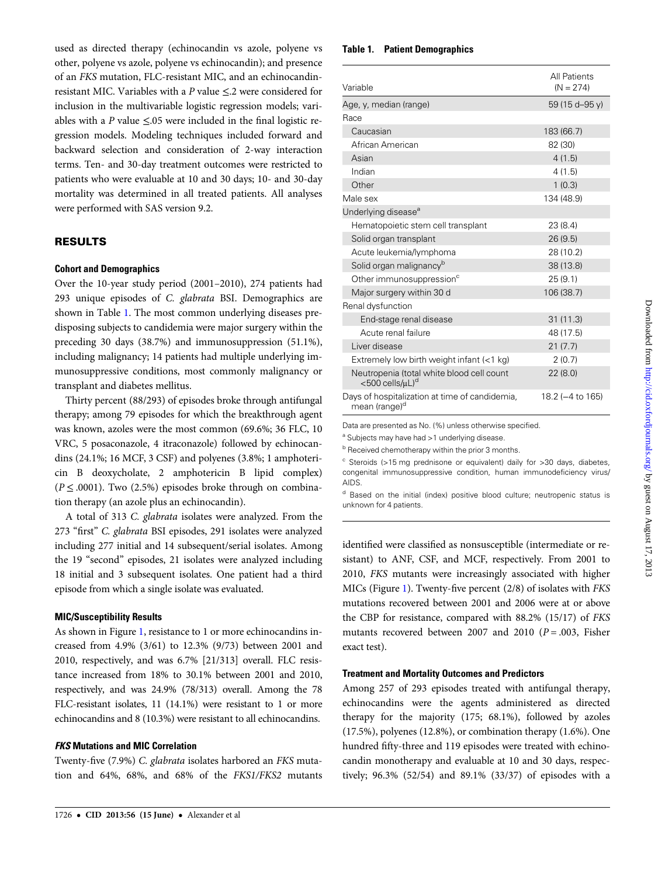used as directed therapy (echinocandin vs azole, polyene vs other, polyene vs azole, polyene vs echinocandin); and presence of an FKS mutation, FLC-resistant MIC, and an echinocandinresistant MIC. Variables with a P value ≤.2 were considered for inclusion in the multivariable logistic regression models; variables with a P value  $\leq 0.05$  were included in the final logistic regression models. Modeling techniques included forward and backward selection and consideration of 2-way interaction terms. Ten- and 30-day treatment outcomes were restricted to patients who were evaluable at 10 and 30 days; 10- and 30-day mortality was determined in all treated patients. All analyses were performed with SAS version 9.2.

## RESULTS

# Cohort and Demographics

Over the 10-year study period (2001–2010), 274 patients had 293 unique episodes of C. glabrata BSI. Demographics are shown in Table 1. The most common underlying diseases predisposing subjects to candidemia were major surgery within the preceding 30 days (38.7%) and immunosuppression (51.1%), including malignancy; 14 patients had multiple underlying immunosuppressive conditions, most commonly malignancy or transplant and diabetes mellitus.

Thirty percent (88/293) of episodes broke through antifungal therapy; among 79 episodes for which the breakthrough agent was known, azoles were the most common (69.6%; 36 FLC, 10 VRC, 5 posaconazole, 4 itraconazole) followed by echinocandins (24.1%; 16 MCF, 3 CSF) and polyenes (3.8%; 1 amphotericin B deoxycholate, 2 amphotericin B lipid complex)  $(P \leq .0001)$ . Two (2.5%) episodes broke through on combination therapy (an azole plus an echinocandin).

A total of 313 C. glabrata isolates were analyzed. From the 273 "first" C. glabrata BSI episodes, 291 isolates were analyzed including 277 initial and 14 subsequent/serial isolates. Among the 19 "second" episodes, 21 isolates were analyzed including 18 initial and 3 subsequent isolates. One patient had a third episode from which a single isolate was evaluated.

## MIC/Susceptibility Results

As shown in Figure [1](#page-3-0), resistance to 1 or more echinocandins increased from 4.9% (3/61) to 12.3% (9/73) between 2001 and 2010, respectively, and was 6.7% [21/313] overall. FLC resistance increased from 18% to 30.1% between 2001 and 2010, respectively, and was 24.9% (78/313) overall. Among the 78 FLC-resistant isolates, 11 (14.1%) were resistant to 1 or more echinocandins and 8 (10.3%) were resistant to all echinocandins.

#### FKS Mutations and MIC Correlation

Twenty-five (7.9%) C. glabrata isolates harbored an FKS mutation and 64%, 68%, and 68% of the FKS1/FKS2 mutants

## Table 1. Patient Demographics

| Variable                                                                    | <b>All Patients</b><br>$(N = 274)$ |
|-----------------------------------------------------------------------------|------------------------------------|
| Age, y, median (range)                                                      | 59 (15 d-95 y)                     |
| Race                                                                        |                                    |
| Caucasian                                                                   | 183 (66.7)                         |
| African American                                                            | 82 (30)                            |
| Asian                                                                       | 4(1.5)                             |
| Indian                                                                      | 4(1.5)                             |
| Other                                                                       | 1(0.3)                             |
| Male sex                                                                    | 134 (48.9)                         |
| Underlying disease <sup>a</sup>                                             |                                    |
| Hematopoietic stem cell transplant                                          | 23(8.4)                            |
| Solid organ transplant                                                      | 26(9.5)                            |
| Acute leukemia/lymphoma                                                     | 28 (10.2)                          |
| Solid organ malignancy <sup>b</sup>                                         | 38 (13.8)                          |
| Other immunosuppression <sup>c</sup>                                        | 25(9.1)                            |
| Major surgery within 30 d                                                   | 106 (38.7)                         |
| Renal dysfunction                                                           |                                    |
| End-stage renal disease                                                     | 31(11.3)                           |
| Acute renal failure                                                         | 48 (17.5)                          |
| Liver disease                                                               | 21(7.7)                            |
| Extremely low birth weight infant $(1 \text{ kg})$                          | 2(0.7)                             |
| Neutropenia (total white blood cell count<br><500 cells/µL) <sup>d</sup>    | 22(8.0)                            |
| Days of hospitalization at time of candidemia,<br>mean (range) <sup>d</sup> | 18.2 (-4 to 165)                   |

Data are presented as No. (%) unless otherwise specified.

a Subjects may have had >1 underlying disease.

b Received chemotherapy within the prior 3 months.

 $\degree$  Steroids (>15 mg prednisone or equivalent) daily for >30 days, diabetes, congenital immunosuppressive condition, human immunodeficiency virus/ AIDS.

<sup>d</sup> Based on the initial (index) positive blood culture; neutropenic status is unknown for 4 patients.

identified were classified as nonsusceptible (intermediate or resistant) to ANF, CSF, and MCF, respectively. From 2001 to 2010, FKS mutants were increasingly associated with higher MICs (Figure [1\)](#page-3-0). Twenty-five percent (2/8) of isolates with FKS mutations recovered between 2001 and 2006 were at or above the CBP for resistance, compared with 88.2% (15/17) of FKS mutants recovered between 2007 and 2010 ( $P = .003$ , Fisher exact test).

## Treatment and Mortality Outcomes and Predictors

Among 257 of 293 episodes treated with antifungal therapy, echinocandins were the agents administered as directed therapy for the majority (175; 68.1%), followed by azoles (17.5%), polyenes (12.8%), or combination therapy (1.6%). One hundred fifty-three and 119 episodes were treated with echinocandin monotherapy and evaluable at 10 and 30 days, respectively; 96.3% (52/54) and 89.1% (33/37) of episodes with a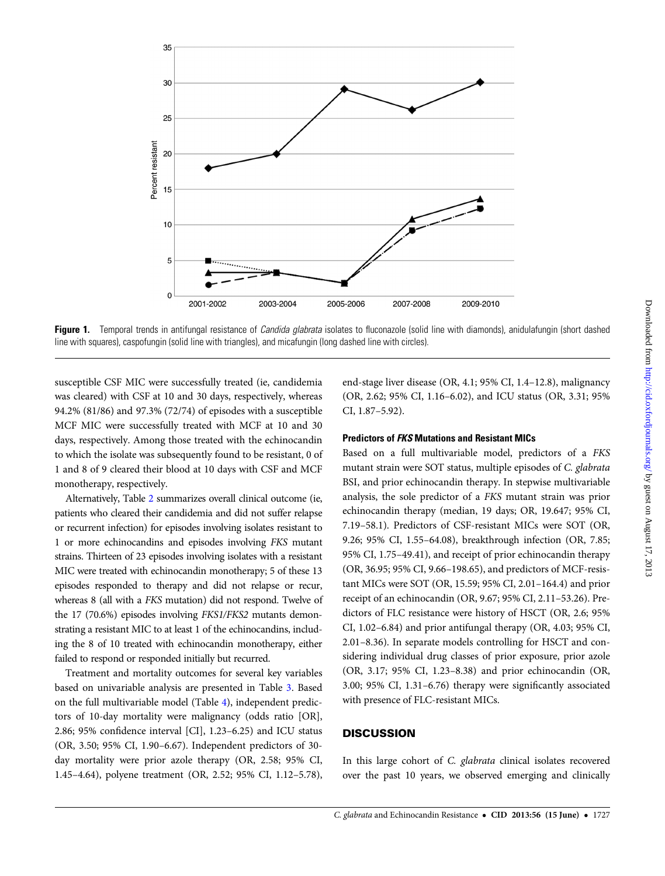<span id="page-3-0"></span>

**Figure 1.** Temporal trends in antifungal resistance of *Candida glabrata* isolates to fluconazole (solid line with diamonds), anidulafungin (short dashed line with squares), caspofungin (solid line with triangles), and micafungin (long dashed line with circles).

susceptible CSF MIC were successfully treated (ie, candidemia was cleared) with CSF at 10 and 30 days, respectively, whereas 94.2% (81/86) and 97.3% (72/74) of episodes with a susceptible MCF MIC were successfully treated with MCF at 10 and 30 days, respectively. Among those treated with the echinocandin to which the isolate was subsequently found to be resistant, 0 of 1 and 8 of 9 cleared their blood at 10 days with CSF and MCF monotherapy, respectively.

Alternatively, Table [2](#page-4-0) summarizes overall clinical outcome (ie, patients who cleared their candidemia and did not suffer relapse or recurrent infection) for episodes involving isolates resistant to 1 or more echinocandins and episodes involving FKS mutant strains. Thirteen of 23 episodes involving isolates with a resistant MIC were treated with echinocandin monotherapy; 5 of these 13 episodes responded to therapy and did not relapse or recur, whereas 8 (all with a FKS mutation) did not respond. Twelve of the 17 (70.6%) episodes involving FKS1/FKS2 mutants demonstrating a resistant MIC to at least 1 of the echinocandins, including the 8 of 10 treated with echinocandin monotherapy, either failed to respond or responded initially but recurred.

Treatment and mortality outcomes for several key variables based on univariable analysis are presented in Table [3](#page-5-0). Based on the full multivariable model (Table [4\)](#page-6-0), independent predictors of 10-day mortality were malignancy (odds ratio [OR], 2.86; 95% confidence interval [CI], 1.23–6.25) and ICU status (OR, 3.50; 95% CI, 1.90–6.67). Independent predictors of 30 day mortality were prior azole therapy (OR, 2.58; 95% CI, 1.45–4.64), polyene treatment (OR, 2.52; 95% CI, 1.12–5.78),

end-stage liver disease (OR, 4.1; 95% CI, 1.4–12.8), malignancy (OR, 2.62; 95% CI, 1.16–6.02), and ICU status (OR, 3.31; 95% CI, 1.87–5.92).

## Predictors of FKS Mutations and Resistant MICs

Based on a full multivariable model, predictors of a FKS mutant strain were SOT status, multiple episodes of C. glabrata BSI, and prior echinocandin therapy. In stepwise multivariable analysis, the sole predictor of a FKS mutant strain was prior echinocandin therapy (median, 19 days; OR, 19.647; 95% CI, 7.19–58.1). Predictors of CSF-resistant MICs were SOT (OR, 9.26; 95% CI, 1.55–64.08), breakthrough infection (OR, 7.85; 95% CI, 1.75–49.41), and receipt of prior echinocandin therapy (OR, 36.95; 95% CI, 9.66–198.65), and predictors of MCF-resistant MICs were SOT (OR, 15.59; 95% CI, 2.01–164.4) and prior receipt of an echinocandin (OR, 9.67; 95% CI, 2.11–53.26). Predictors of FLC resistance were history of HSCT (OR, 2.6; 95% CI, 1.02–6.84) and prior antifungal therapy (OR, 4.03; 95% CI, 2.01–8.36). In separate models controlling for HSCT and considering individual drug classes of prior exposure, prior azole (OR, 3.17; 95% CI, 1.23–8.38) and prior echinocandin (OR, 3.00; 95% CI, 1.31–6.76) therapy were significantly associated with presence of FLC-resistant MICs.

# **DISCUSSION**

In this large cohort of C. glabrata clinical isolates recovered over the past 10 years, we observed emerging and clinically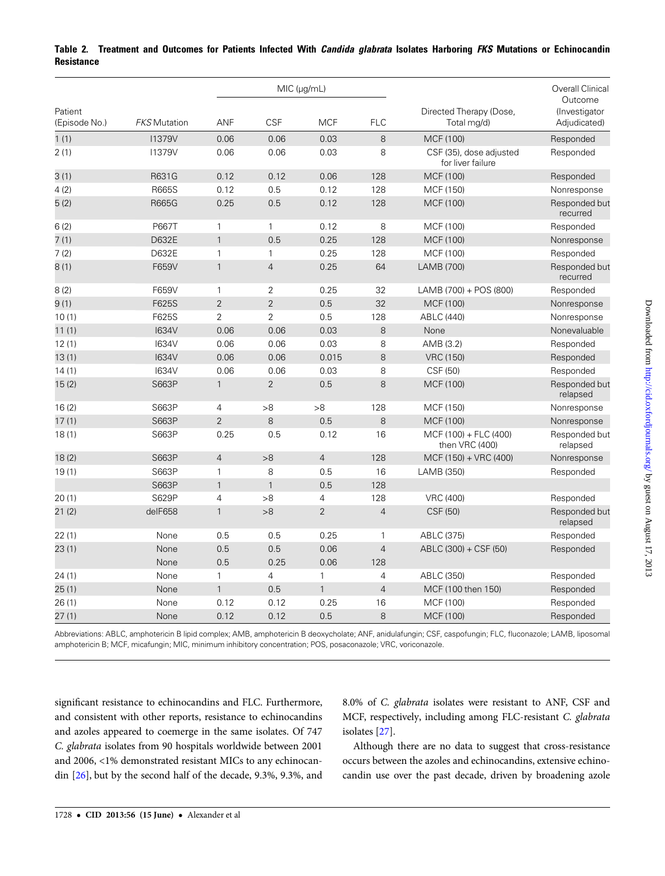|                          | <b>FKS Mutation</b> | MIC (µg/mL)    |                |                |                |                                              | <b>Overall Clinical</b>                  |
|--------------------------|---------------------|----------------|----------------|----------------|----------------|----------------------------------------------|------------------------------------------|
| Patient<br>(Episode No.) |                     | ANF            | <b>CSF</b>     | <b>MCF</b>     | <b>FLC</b>     | Directed Therapy (Dose,<br>Total mg/d)       | Outcome<br>(Investigator<br>Adjudicated) |
| 1(1)                     | <b>I1379V</b>       | 0.06           | 0.06           | 0.03           | $\,8\,$        | MCF (100)                                    | Responded                                |
| 2(1)                     | <b>I1379V</b>       | 0.06           | 0.06           | 0.03           | 8              | CSF (35), dose adjusted<br>for liver failure | Responded                                |
| 3(1)                     | R631G               | 0.12           | 0.12           | 0.06           | 128            | MCF (100)                                    | Responded                                |
| 4(2)                     | <b>R665S</b>        | 0.12           | 0.5            | 0.12           | 128            | MCF (150)                                    | Nonresponse                              |
| 5(2)                     | <b>R665G</b>        | 0.25           | 0.5            | 0.12           | 128            | MCF (100)                                    | Responded but<br>recurred                |
| 6(2)                     | P667T               | 1              | 1              | 0.12           | 8              | MCF (100)                                    | Responded                                |
| 7(1)                     | D632E               | $\mathbf{1}$   | 0.5            | 0.25           | 128            | MCF (100)                                    | Nonresponse                              |
| 7(2)                     | D632E               | $\mathbf{1}$   | $\mathbf{1}$   | 0.25           | 128            | MCF (100)                                    | Responded                                |
| 8(1)                     | F659V               | $\mathbf{1}$   | $\overline{4}$ | 0.25           | 64             | LAMB (700)                                   | Responded but<br>recurred                |
| 8(2)                     | F659V               | $\mathbf{1}$   | $\overline{2}$ | 0.25           | 32             | LAMB (700) + POS (800)                       | Responded                                |
| 9(1)                     | F625S               | $\overline{2}$ | $\overline{2}$ | 0.5            | 32             | MCF (100)                                    | Nonresponse                              |
| 10(1)                    | F625S               | $\overline{2}$ | $\overline{2}$ | 0.5            | 128            | <b>ABLC (440)</b>                            | Nonresponse                              |
| 11(1)                    | <b>I634V</b>        | 0.06           | 0.06           | 0.03           | 8              | None                                         | Nonevaluable                             |
| 12(1)                    | <b>I634V</b>        | 0.06           | 0.06           | 0.03           | 8              | AMB (3.2)                                    | Responded                                |
| 13(1)                    | <b>I634V</b>        | 0.06           | 0.06           | 0.015          | 8              | <b>VRC (150)</b>                             | Responded                                |
| 14(1)                    | <b>I634V</b>        | 0.06           | 0.06           | 0.03           | 8              | CSF (50)                                     | Responded                                |
| 15(2)                    | S663P               | $\mathbf{1}$   | $\overline{2}$ | 0.5            | 8              | MCF (100)                                    | Responded but<br>relapsed                |
| 16(2)                    | S663P               | 4              | >8             | >8             | 128            | MCF (150)                                    | Nonresponse                              |
| 17(1)                    | S663P               | $\overline{2}$ | 8              | 0.5            | 8              | MCF (100)                                    | Nonresponse                              |
| 18(1)                    | S663P               | 0.25           | 0.5            | 0.12           | 16             | MCF (100) + FLC (400)<br>then VRC (400)      | Responded but<br>relapsed                |
| 18(2)                    | S663P               | $\overline{4}$ | >8             | $\overline{4}$ | 128            | $MCF (150) + VRC (400)$                      | Nonresponse                              |
| 19(1)                    | S663P               | $\mathbf{1}$   | 8              | 0.5            | 16             | LAMB (350)                                   | Responded                                |
|                          | S663P               | $\mathbf{1}$   | $\mathbf{1}$   | 0.5            | 128            |                                              |                                          |
| 20(1)                    | S629P               | 4              | >8             | $\overline{4}$ | 128            | <b>VRC (400)</b>                             | Responded                                |
| 21(2)                    | delF658             | $\mathbf{1}$   | >8             | $\overline{2}$ | $\overline{4}$ | CSF (50)                                     | Responded but<br>relapsed                |
| 22(1)                    | None                | 0.5            | 0.5            | 0.25           | $\mathbf{1}$   | ABLC (375)                                   | Responded                                |
| 23(1)                    | None                | 0.5            | 0.5            | 0.06           | $\overline{4}$ | ABLC (300) + CSF (50)                        | Responded                                |
|                          | None                | 0.5            | 0.25           | 0.06           | 128            |                                              |                                          |
| 24(1)                    | None                | $\mathbf{1}$   | $\overline{4}$ | $\mathbf{1}$   | $\overline{4}$ | ABLC (350)                                   | Responded                                |
| 25(1)                    | None                | $\mathbf{1}$   | 0.5            | $\mathbf{1}$   | $\overline{4}$ | MCF (100 then 150)                           | Responded                                |
| 26(1)                    | None                | 0.12           | 0.12           | 0.25           | 16             | MCF (100)                                    | Responded                                |
| 27(1)                    | None                | 0.12           | 0.12           | 0.5            | 8              | MCF (100)                                    | Responded                                |

# <span id="page-4-0"></span>Table 2. Treatment and Outcomes for Patients Infected With Candida glabrata Isolates Harboring FKS Mutations or Echinocandin **Resistance**

Abbreviations: ABLC, amphotericin B lipid complex; AMB, amphotericin B deoxycholate; ANF, anidulafungin; CSF, caspofungin; FLC, fluconazole; LAMB, liposomal amphotericin B; MCF, micafungin; MIC, minimum inhibitory concentration; POS, posaconazole; VRC, voriconazole.

significant resistance to echinocandins and FLC. Furthermore, and consistent with other reports, resistance to echinocandins and azoles appeared to coemerge in the same isolates. Of 747 C. glabrata isolates from 90 hospitals worldwide between 2001 and 2006, <1% demonstrated resistant MICs to any echinocandin [\[26\]](#page-7-0), but by the second half of the decade, 9.3%, 9.3%, and 8.0% of C. glabrata isolates were resistant to ANF, CSF and MCF, respectively, including among FLC-resistant C. glabrata isolates [[27\]](#page-7-0).

Although there are no data to suggest that cross-resistance occurs between the azoles and echinocandins, extensive echinocandin use over the past decade, driven by broadening azole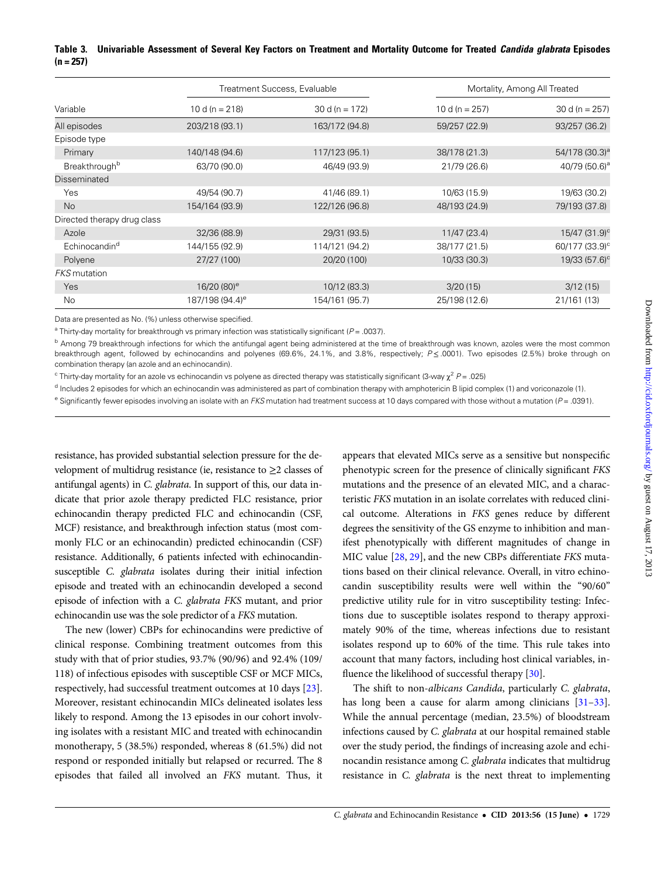# <span id="page-5-0"></span>Table 3. Univariable Assessment of Several Key Factors on Treatment and Mortality Outcome for Treated Candida glabrata Episodes  $(n = 257)$

|                             | Treatment Success, Evaluable |                   |                   | Mortality, Among All Treated |  |
|-----------------------------|------------------------------|-------------------|-------------------|------------------------------|--|
| Variable                    | 10 d (n = $218$ )            | 30 d (n = $172$ ) | 10 d (n = $257$ ) | 30 d (n = $257$ )            |  |
| All episodes                | 203/218 (93.1)               | 163/172 (94.8)    | 59/257 (22.9)     | 93/257 (36.2)                |  |
| Episode type                |                              |                   |                   |                              |  |
| Primary                     | 140/148 (94.6)               | 117/123 (95.1)    | 38/178 (21.3)     | 54/178 (30.3) <sup>a</sup>   |  |
| Breakthrough <sup>b</sup>   | 63/70 (90.0)                 | 46/49 (93.9)      | 21/79 (26.6)      | 40/79 (50.6) <sup>a</sup>    |  |
| Disseminated                |                              |                   |                   |                              |  |
| Yes                         | 49/54 (90.7)                 | 41/46 (89.1)      | 10/63 (15.9)      | 19/63 (30.2)                 |  |
| <b>No</b>                   | 154/164 (93.9)               | 122/126 (96.8)    | 48/193 (24.9)     | 79/193 (37.8)                |  |
| Directed therapy drug class |                              |                   |                   |                              |  |
| Azole                       | 32/36 (88.9)                 | 29/31 (93.5)      | 11/47 (23.4)      | $15/47$ (31.9) <sup>c</sup>  |  |
| Echinocandin <sup>d</sup>   | 144/155 (92.9)               | 114/121 (94.2)    | 38/177 (21.5)     | 60/177 (33.9) <sup>c</sup>   |  |
| Polyene                     | 27/27 (100)                  | 20/20 (100)       | 10/33 (30.3)      | 19/33 (57.6) <sup>c</sup>    |  |
| <b>FKS</b> mutation         |                              |                   |                   |                              |  |
| Yes                         | 16/20 (80) <sup>e</sup>      | 10/12 (83.3)      | 3/20(15)          | 3/12(15)                     |  |
| No                          | 187/198 (94.4) <sup>e</sup>  | 154/161 (95.7)    | 25/198 (12.6)     | 21/161 (13)                  |  |

Data are presented as No. (%) unless otherwise specified.

<sup>a</sup> Thirty-day mortality for breakthrough vs primary infection was statistically significant ( $P = .0037$ ).

<sup>b</sup> Among 79 breakthrough infections for which the antifungal agent being administered at the time of breakthrough was known, azoles were the most common breakthrough agent, followed by echinocandins and polyenes (69.6%, 24.1%, and 3.8%, respectively;  $P \le 0.001$ ). Two episodes (2.5%) broke through on combination therapy (an azole and an echinocandin).

<sup>c</sup> Thirty-day mortality for an azole vs echinocandin vs polyene as directed therapy was statistically significant (3-way  $\chi^2$  P = .025)

<sup>d</sup> Includes 2 episodes for which an echinocandin was administered as part of combination therapy with amphotericin B lipid complex (1) and voriconazole (1).

 $e$  Significantly fewer episodes involving an isolate with an FKS mutation had treatment success at 10 days compared with those without a mutation ( $P = .0391$ ).

resistance, has provided substantial selection pressure for the development of multidrug resistance (ie, resistance to  $\geq$ 2 classes of antifungal agents) in C. glabrata. In support of this, our data indicate that prior azole therapy predicted FLC resistance, prior echinocandin therapy predicted FLC and echinocandin (CSF, MCF) resistance, and breakthrough infection status (most commonly FLC or an echinocandin) predicted echinocandin (CSF) resistance. Additionally, 6 patients infected with echinocandinsusceptible C. glabrata isolates during their initial infection episode and treated with an echinocandin developed a second episode of infection with a C. glabrata FKS mutant, and prior echinocandin use was the sole predictor of a FKS mutation.

The new (lower) CBPs for echinocandins were predictive of clinical response. Combining treatment outcomes from this study with that of prior studies, 93.7% (90/96) and 92.4% (109/ 118) of infectious episodes with susceptible CSF or MCF MICs, respectively, had successful treatment outcomes at 10 days [\[23\]](#page-7-0). Moreover, resistant echinocandin MICs delineated isolates less likely to respond. Among the 13 episodes in our cohort involving isolates with a resistant MIC and treated with echinocandin monotherapy, 5 (38.5%) responded, whereas 8 (61.5%) did not respond or responded initially but relapsed or recurred. The 8 episodes that failed all involved an FKS mutant. Thus, it appears that elevated MICs serve as a sensitive but nonspecific phenotypic screen for the presence of clinically significant FKS mutations and the presence of an elevated MIC, and a characteristic FKS mutation in an isolate correlates with reduced clinical outcome. Alterations in FKS genes reduce by different degrees the sensitivity of the GS enzyme to inhibition and manifest phenotypically with different magnitudes of change in MIC value [\[28](#page-7-0), [29\]](#page-7-0), and the new CBPs differentiate FKS mutations based on their clinical relevance. Overall, in vitro echinocandin susceptibility results were well within the "90/60" predictive utility rule for in vitro susceptibility testing: Infections due to susceptible isolates respond to therapy approximately 90% of the time, whereas infections due to resistant isolates respond up to 60% of the time. This rule takes into account that many factors, including host clinical variables, in-fluence the likelihood of successful therapy [\[30\]](#page-7-0).

The shift to non-albicans Candida, particularly C. glabrata, has long been a cause for alarm among clinicians [\[31](#page-7-0)–[33\]](#page-8-0). While the annual percentage (median, 23.5%) of bloodstream infections caused by C. glabrata at our hospital remained stable over the study period, the findings of increasing azole and echinocandin resistance among C. glabrata indicates that multidrug resistance in C. glabrata is the next threat to implementing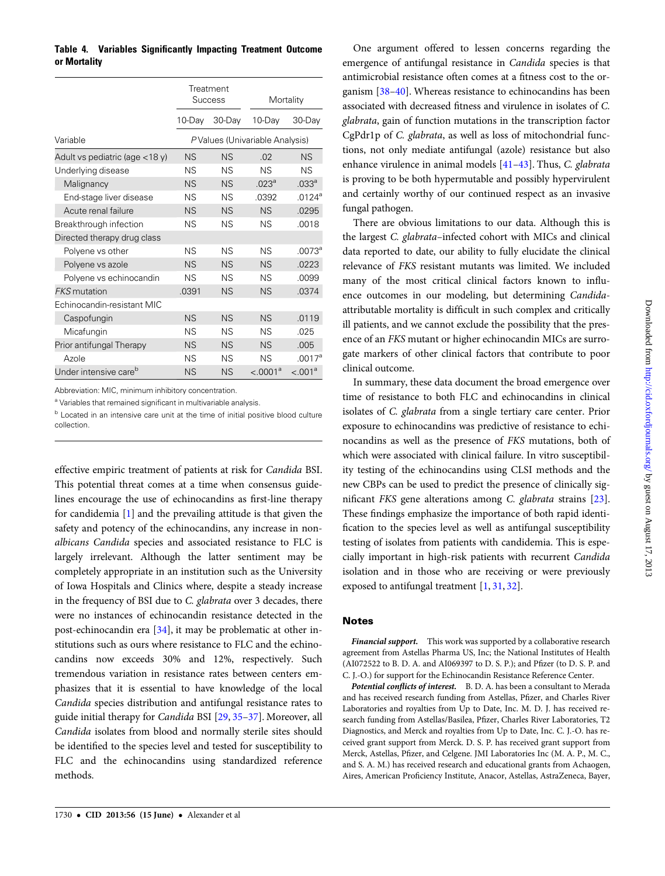<span id="page-6-0"></span>Table 4. Variables Significantly Impacting Treatment Outcome or Mortality

|                                   | Treatment<br><b>Success</b>    |           | Mortality            |                    |  |
|-----------------------------------|--------------------------------|-----------|----------------------|--------------------|--|
|                                   | 10-Day                         | 30-Day    | 10-Day               | 30-Day             |  |
| Variable                          | PValues (Univariable Analysis) |           |                      |                    |  |
| Adult vs pediatric (age $<$ 18 y) | ΝS                             | <b>NS</b> | .02                  | NS                 |  |
| Underlying disease                | ΝS                             | <b>NS</b> | <b>NS</b>            | <b>NS</b>          |  |
| Malignancy                        | ΝS                             | <b>NS</b> | .023 <sup>a</sup>    | .033 <sup>a</sup>  |  |
| End-stage liver disease           | ΝS                             | <b>NS</b> | .0392                | .0124 <sup>a</sup> |  |
| Acute renal failure               | <b>NS</b>                      | <b>NS</b> | <b>NS</b>            | .0295              |  |
| Breakthrough infection            | ΝS                             | <b>NS</b> | ΝS                   | .0018              |  |
| Directed therapy drug class       |                                |           |                      |                    |  |
| Polyene vs other                  | ΝS                             | <b>NS</b> | <b>NS</b>            | $.0073^a$          |  |
| Polyene vs azole                  | <b>NS</b>                      | <b>NS</b> | <b>NS</b>            | .0223              |  |
| Polyene vs echinocandin           | ΝS                             | <b>NS</b> | <b>NS</b>            | .0099              |  |
| <b>FKS</b> mutation               | .0391                          | <b>NS</b> | <b>NS</b>            | .0374              |  |
| Echinocandin-resistant MIC        |                                |           |                      |                    |  |
| Caspofungin                       | <b>NS</b>                      | <b>NS</b> | <b>NS</b>            | .0119              |  |
| Micafungin                        | ΝS                             | <b>NS</b> | ΝS                   | .025               |  |
| Prior antifungal Therapy          | <b>NS</b>                      | <b>NS</b> | <b>NS</b>            | .005               |  |
| Azole                             | ΝS                             | <b>NS</b> | <b>NS</b>            | $.0017^a$          |  |
| Under intensive care <sup>b</sup> | <b>NS</b>                      | <b>NS</b> | < .0001 <sup>a</sup> | $< 0.001^a$        |  |

Abbreviation: MIC, minimum inhibitory concentration.

a Variables that remained significant in multivariable analysis.

<sup>b</sup> Located in an intensive care unit at the time of initial positive blood culture collection.

effective empiric treatment of patients at risk for Candida BSI. This potential threat comes at a time when consensus guidelines encourage the use of echinocandins as first-line therapy for candidemia [[1](#page-7-0)] and the prevailing attitude is that given the safety and potency of the echinocandins, any increase in nonalbicans Candida species and associated resistance to FLC is largely irrelevant. Although the latter sentiment may be completely appropriate in an institution such as the University of Iowa Hospitals and Clinics where, despite a steady increase in the frequency of BSI due to C. glabrata over 3 decades, there were no instances of echinocandin resistance detected in the post-echinocandin era [\[34](#page-8-0)], it may be problematic at other institutions such as ours where resistance to FLC and the echinocandins now exceeds 30% and 12%, respectively. Such tremendous variation in resistance rates between centers emphasizes that it is essential to have knowledge of the local Candida species distribution and antifungal resistance rates to guide initial therapy for Candida BSI [[29,](#page-7-0) [35](#page-8-0)–[37\]](#page-8-0). Moreover, all Candida isolates from blood and normally sterile sites should be identified to the species level and tested for susceptibility to FLC and the echinocandins using standardized reference methods.

One argument offered to lessen concerns regarding the emergence of antifungal resistance in Candida species is that antimicrobial resistance often comes at a fitness cost to the organism [\[38](#page-8-0)–[40](#page-8-0)]. Whereas resistance to echinocandins has been associated with decreased fitness and virulence in isolates of C. glabrata, gain of function mutations in the transcription factor CgPdr1p of C. glabrata, as well as loss of mitochondrial functions, not only mediate antifungal (azole) resistance but also enhance virulence in animal models [\[41](#page-8-0)–[43](#page-8-0)]. Thus, C. glabrata is proving to be both hypermutable and possibly hypervirulent and certainly worthy of our continued respect as an invasive fungal pathogen.

There are obvious limitations to our data. Although this is the largest C. glabrata–infected cohort with MICs and clinical data reported to date, our ability to fully elucidate the clinical relevance of FKS resistant mutants was limited. We included many of the most critical clinical factors known to influence outcomes in our modeling, but determining Candidaattributable mortality is difficult in such complex and critically ill patients, and we cannot exclude the possibility that the presence of an FKS mutant or higher echinocandin MICs are surrogate markers of other clinical factors that contribute to poor clinical outcome.

In summary, these data document the broad emergence over time of resistance to both FLC and echinocandins in clinical isolates of C. glabrata from a single tertiary care center. Prior exposure to echinocandins was predictive of resistance to echinocandins as well as the presence of FKS mutations, both of which were associated with clinical failure. In vitro susceptibility testing of the echinocandins using CLSI methods and the new CBPs can be used to predict the presence of clinically significant FKS gene alterations among C. glabrata strains [\[23\]](#page-7-0). These findings emphasize the importance of both rapid identification to the species level as well as antifungal susceptibility testing of isolates from patients with candidemia. This is especially important in high-risk patients with recurrent Candida isolation and in those who are receiving or were previously exposed to antifungal treatment [[1](#page-7-0), [31,](#page-7-0) [32\]](#page-7-0).

#### **Notes**

Financial support. This work was supported by a collaborative research agreement from Astellas Pharma US, Inc; the National Institutes of Health (AI072522 to B. D. A. and AI069397 to D. S. P.); and Pfizer (to D. S. P. and C. J.-O.) for support for the Echinocandin Resistance Reference Center.

Potential conflicts of interest. B. D. A. has been a consultant to Merada and has received research funding from Astellas, Pfizer, and Charles River Laboratories and royalties from Up to Date, Inc. M. D. J. has received research funding from Astellas/Basilea, Pfizer, Charles River Laboratories, T2 Diagnostics, and Merck and royalties from Up to Date, Inc. C. J.-O. has received grant support from Merck. D. S. P. has received grant support from Merck, Astellas, Pfizer, and Celgene. JMI Laboratories Inc (M. A. P., M. C., and S. A. M.) has received research and educational grants from Achaogen, Aires, American Proficiency Institute, Anacor, Astellas, AstraZeneca, Bayer,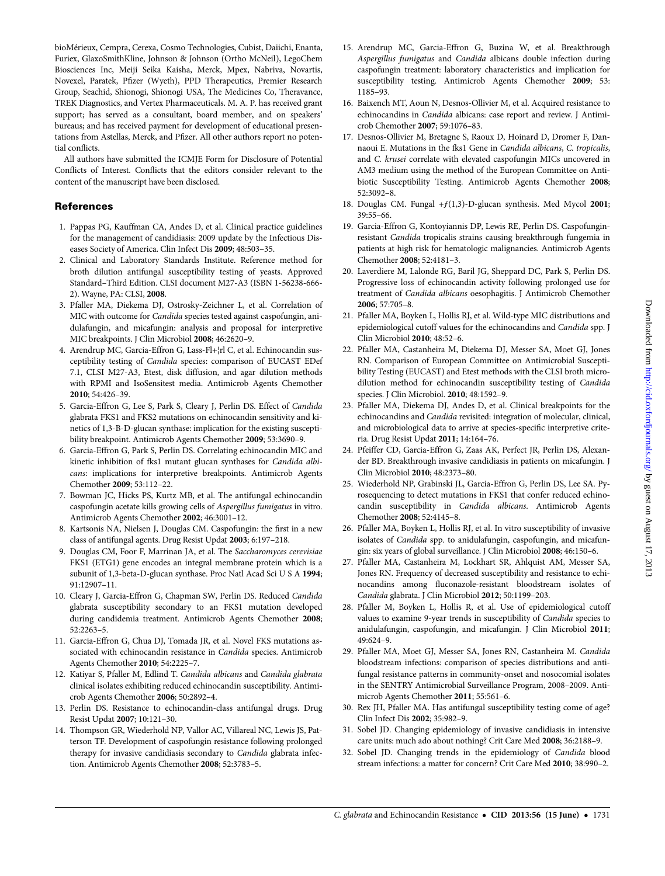<span id="page-7-0"></span>bioMérieux, Cempra, Cerexa, Cosmo Technologies, Cubist, Daiichi, Enanta, Furiex, GlaxoSmithKline, Johnson & Johnson (Ortho McNeil), LegoChem Biosciences Inc, Meiji Seika Kaisha, Merck, Mpex, Nabriva, Novartis, Novexel, Paratek, Pfizer (Wyeth), PPD Therapeutics, Premier Research Group, Seachid, Shionogi, Shionogi USA, The Medicines Co, Theravance, TREK Diagnostics, and Vertex Pharmaceuticals. M. A. P. has received grant support; has served as a consultant, board member, and on speakers' bureaus; and has received payment for development of educational presentations from Astellas, Merck, and Pfizer. All other authors report no potential conflicts.

All authors have submitted the ICMJE Form for Disclosure of Potential Conflicts of Interest. Conflicts that the editors consider relevant to the content of the manuscript have been disclosed.

# **References**

- 1. Pappas PG, Kauffman CA, Andes D, et al. Clinical practice guidelines for the management of candidiasis: 2009 update by the Infectious Diseases Society of America. Clin Infect Dis 2009; 48:503–35.
- 2. Clinical and Laboratory Standards Institute. Reference method for broth dilution antifungal susceptibility testing of yeasts. Approved Standard–Third Edition. CLSI document M27-A3 (ISBN 1-56238-666- 2). Wayne, PA: CLSI, 2008.
- 3. Pfaller MA, Diekema DJ, Ostrosky-Zeichner L, et al. Correlation of MIC with outcome for Candida species tested against caspofungin, anidulafungin, and micafungin: analysis and proposal for interpretive MIC breakpoints. J Clin Microbiol 2008; 46:2620–9.
- 4. Arendrup MC, Garcia-Effron G, Lass-Fl+¦rl C, et al. Echinocandin susceptibility testing of Candida species: comparison of EUCAST EDef 7.1, CLSI M27-A3, Etest, disk diffusion, and agar dilution methods with RPMI and IsoSensitest media. Antimicrob Agents Chemother 2010; 54:426–39.
- 5. Garcia-Effron G, Lee S, Park S, Cleary J, Perlin DS. Effect of Candida glabrata FKS1 and FKS2 mutations on echinocandin sensitivity and kinetics of 1,3-B-D-glucan synthase: implication for the existing susceptibility breakpoint. Antimicrob Agents Chemother 2009; 53:3690–9.
- 6. Garcia-Effron G, Park S, Perlin DS. Correlating echinocandin MIC and kinetic inhibition of fks1 mutant glucan synthases for Candida albicans: implications for interpretive breakpoints. Antimicrob Agents Chemother 2009; 53:112–22.
- 7. Bowman JC, Hicks PS, Kurtz MB, et al. The antifungal echinocandin caspofungin acetate kills growing cells of Aspergillus fumigatus in vitro. Antimicrob Agents Chemother 2002; 46:3001–12.
- 8. Kartsonis NA, Nielsen J, Douglas CM. Caspofungin: the first in a new class of antifungal agents. Drug Resist Updat 2003; 6:197–218.
- 9. Douglas CM, Foor F, Marrinan JA, et al. The Saccharomyces cerevisiae FKS1 (ETG1) gene encodes an integral membrane protein which is a subunit of 1,3-beta-D-glucan synthase. Proc Natl Acad Sci U S A 1994; 91:12907–11.
- 10. Cleary J, Garcia-Effron G, Chapman SW, Perlin DS. Reduced Candida glabrata susceptibility secondary to an FKS1 mutation developed during candidemia treatment. Antimicrob Agents Chemother 2008; 52:2263–5.
- 11. Garcia-Effron G, Chua DJ, Tomada JR, et al. Novel FKS mutations associated with echinocandin resistance in Candida species. Antimicrob Agents Chemother 2010; 54:2225–7.
- 12. Katiyar S, Pfaller M, Edlind T. Candida albicans and Candida glabrata clinical isolates exhibiting reduced echinocandin susceptibility. Antimicrob Agents Chemother 2006; 50:2892–4.
- 13. Perlin DS. Resistance to echinocandin-class antifungal drugs. Drug Resist Updat 2007; 10:121–30.
- 14. Thompson GR, Wiederhold NP, Vallor AC, Villareal NC, Lewis JS, Patterson TF. Development of caspofungin resistance following prolonged therapy for invasive candidiasis secondary to Candida glabrata infection. Antimicrob Agents Chemother 2008; 52:3783–5.
- 15. Arendrup MC, Garcia-Effron G, Buzina W, et al. Breakthrough Aspergillus fumigatus and Candida albicans double infection during caspofungin treatment: laboratory characteristics and implication for susceptibility testing. Antimicrob Agents Chemother 2009; 53: 1185–93.
- 16. Baixench MT, Aoun N, Desnos-Ollivier M, et al. Acquired resistance to echinocandins in Candida albicans: case report and review. J Antimicrob Chemother 2007; 59:1076–83.
- 17. Desnos-Ollivier M, Bretagne S, Raoux D, Hoinard D, Dromer F, Dannaoui E. Mutations in the fks1 Gene in Candida albicans, C. tropicalis, and C. krusei correlate with elevated caspofungin MICs uncovered in AM3 medium using the method of the European Committee on Antibiotic Susceptibility Testing. Antimicrob Agents Chemother 2008; 52:3092–8.
- 18. Douglas CM. Fungal +f(1,3)-D-glucan synthesis. Med Mycol 2001; 39:55–66.
- 19. Garcia-Effron G, Kontoyiannis DP, Lewis RE, Perlin DS. Caspofunginresistant Candida tropicalis strains causing breakthrough fungemia in patients at high risk for hematologic malignancies. Antimicrob Agents Chemother 2008; 52:4181–3.
- 20. Laverdiere M, Lalonde RG, Baril JG, Sheppard DC, Park S, Perlin DS. Progressive loss of echinocandin activity following prolonged use for treatment of Candida albicans oesophagitis. J Antimicrob Chemother 2006; 57:705–8.
- 21. Pfaller MA, Boyken L, Hollis RJ, et al. Wild-type MIC distributions and epidemiological cutoff values for the echinocandins and Candida spp. J Clin Microbiol 2010; 48:52–6.
- 22. Pfaller MA, Castanheira M, Diekema DJ, Messer SA, Moet GJ, Jones RN. Comparison of European Committee on Antimicrobial Susceptibility Testing (EUCAST) and Etest methods with the CLSI broth microdilution method for echinocandin susceptibility testing of Candida species. J Clin Microbiol. 2010; 48:1592–9.
- 23. Pfaller MA, Diekema DJ, Andes D, et al. Clinical breakpoints for the echinocandins and Candida revisited: integration of molecular, clinical, and microbiological data to arrive at species-specific interpretive criteria. Drug Resist Updat 2011; 14:164–76.
- 24. Pfeiffer CD, Garcia-Effron G, Zaas AK, Perfect JR, Perlin DS, Alexander BD. Breakthrough invasive candidiasis in patients on micafungin. J Clin Microbiol 2010; 48:2373–80.
- 25. Wiederhold NP, Grabinski JL, Garcia-Effron G, Perlin DS, Lee SA. Pyrosequencing to detect mutations in FKS1 that confer reduced echinocandin susceptibility in Candida albicans. Antimicrob Agents Chemother 2008; 52:4145–8.
- 26. Pfaller MA, Boyken L, Hollis RJ, et al. In vitro susceptibility of invasive isolates of Candida spp. to anidulafungin, caspofungin, and micafungin: six years of global surveillance. J Clin Microbiol 2008; 46:150–6.
- 27. Pfaller MA, Castanheira M, Lockhart SR, Ahlquist AM, Messer SA, Jones RN. Frequency of decreased susceptibility and resistance to echinocandins among fluconazole-resistant bloodstream isolates of Candida glabrata. J Clin Microbiol 2012; 50:1199–203.
- 28. Pfaller M, Boyken L, Hollis R, et al. Use of epidemiological cutoff values to examine 9-year trends in susceptibility of Candida species to anidulafungin, caspofungin, and micafungin. J Clin Microbiol 2011; 49:624–9.
- 29. Pfaller MA, Moet GJ, Messer SA, Jones RN, Castanheira M. Candida bloodstream infections: comparison of species distributions and antifungal resistance patterns in community-onset and nosocomial isolates in the SENTRY Antimicrobial Surveillance Program, 2008–2009. Antimicrob Agents Chemother 2011; 55:561–6.
- 30. Rex JH, Pfaller MA. Has antifungal susceptibility testing come of age? Clin Infect Dis 2002; 35:982–9.
- 31. Sobel JD. Changing epidemiology of invasive candidiasis in intensive care units: much ado about nothing? Crit Care Med 2008; 36:2188–9.
- 32. Sobel JD. Changing trends in the epidemiology of Candida blood stream infections: a matter for concern? Crit Care Med 2010; 38:990–2.